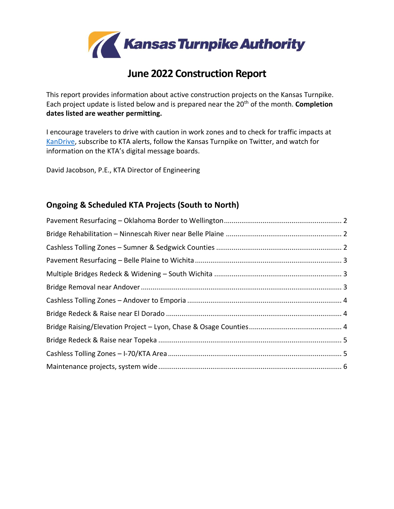

# **June 2022 Construction Report**

This report provides information about active construction projects on the Kansas Turnpike. Each project update is listed below and is prepared near the 20th of the month. **Completion dates listed are weather permitting.**

I encourage travelers to drive with caution in work zones and to check for traffic impacts at [KanDrive,](http://www.kandrive.org/) subscribe to KTA alerts, follow the Kansas Turnpike on Twitter, and watch for information on the KTA's digital message boards.

David Jacobson, P.E., KTA Director of Engineering

### **Ongoing & Scheduled KTA Projects (South to North)**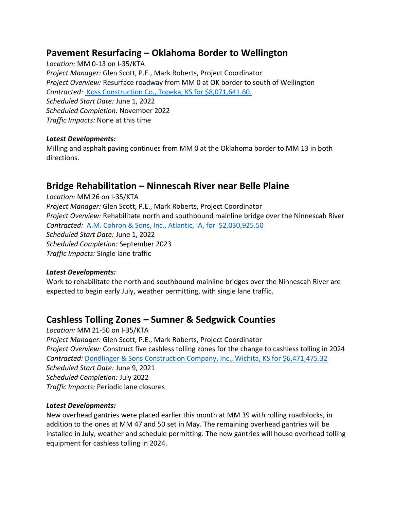### <span id="page-1-0"></span>**Pavement Resurfacing – Oklahoma Border to Wellington**

*Location:* MM 0-13 on I-35/KTA *Project Manager:* Glen Scott, P.E., Mark Roberts, Project Coordinator *Project Overview:* Resurface roadway from MM 0 at OK border to south of Wellington *Contracted:* [Koss Construction Co., Topeka, KS for \\$8,071,641.60.](https://www.ksturnpike.com/assets/uploads/press-release-files/2022-01-04_Contracts_Awarded.pdf) *Scheduled Start Date:* June 1, 2022 *Scheduled Completion:* November 2022 *Traffic Impacts:* None at this time

#### *Latest Developments:*

Milling and asphalt paving continues from MM 0 at the Oklahoma border to MM 13 in both directions.

### <span id="page-1-1"></span>**Bridge Rehabilitation – Ninnescah River near Belle Plaine**

*Location:* MM 26 on I-35/KTA *Project Manager:* Glen Scott, P.E., Mark Roberts, Project Coordinator *Project Overview:* Rehabilitate north and southbound mainline bridge over the Ninnescah River *Contracted:* [A.M. Cohron & Sons, Inc., Atlantic, IA, for \\$2,030,925.50](https://www.ksturnpike.com/assets/uploads/press-release-files/2022-04-05_Contracts_Awarded.pdf) *Scheduled Start Date:* June 1, 2022 *Scheduled Completion:* September 2023 *Traffic Impacts:* Single lane traffic

### *Latest Developments:*

Work to rehabilitate the north and southbound mainline bridges over the Ninnescah River are expected to begin early July, weather permitting, with single lane traffic.

### <span id="page-1-2"></span>**Cashless Tolling Zones – Sumner & Sedgwick Counties**

*Location:* MM 21-50 on I-35/KTA *Project Manager:* Glen Scott, P.E., Mark Roberts, Project Coordinator *Project Overview:* Construct five cashless tolling zones for the change to cashless tolling in 2024 *Contracted:* [Dondlinger & Sons Construction Company, Inc., Wichita, KS for \\$6,471,475.32](http://link.ksturnpike.com/nl2/xo243/u07qn.html?hl=en) *Scheduled Start Date:* June 9, 2021 *Scheduled Completion:* July 2022 *Traffic Impacts:* Periodic lane closures

#### *Latest Developments:*

New overhead gantries were placed earlier this month at MM 39 with rolling roadblocks, in addition to the ones at MM 47 and 50 set in May. The remaining overhead gantries will be installed in July, weather and schedule permitting. The new gantries will house overhead tolling equipment for cashless tolling in 2024.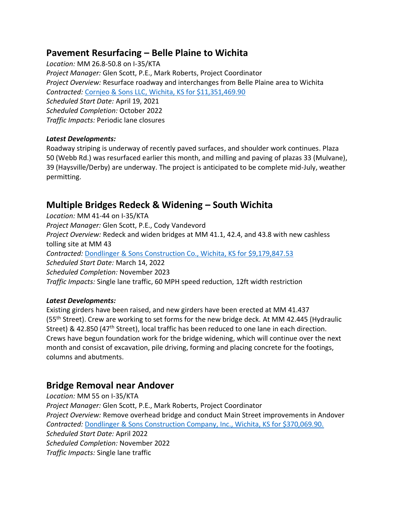## <span id="page-2-0"></span>**Pavement Resurfacing – Belle Plaine to Wichita**

*Location:* MM 26.8-50.8 on I-35/KTA *Project Manager:* Glen Scott, P.E., Mark Roberts, Project Coordinator *Project Overview:* Resurface roadway and interchanges from Belle Plaine area to Wichita *Contracted:* [Cornjeo & Sons LLC, Wichita, KS for \\$11,351,469.90](https://www.ksturnpike.com/assets/uploads/press-release-files/2021-02-02_Contracts_Awarded.pdf) *Scheduled Start Date:* April 19, 2021 *Scheduled Completion:* October 2022 *Traffic Impacts:* Periodic lane closures

### *Latest Developments:*

Roadway striping is underway of recently paved surfaces, and shoulder work continues. Plaza 50 (Webb Rd.) was resurfaced earlier this month, and milling and paving of plazas 33 (Mulvane), 39 (Haysville/Derby) are underway. The project is anticipated to be complete mid-July, weather permitting.

# <span id="page-2-1"></span>**Multiple Bridges Redeck & Widening – South Wichita**

*Location:* MM 41-44 on I-35/KTA *Project Manager:* Glen Scott, P.E., Cody Vandevord *Project Overview:* Redeck and widen bridges at MM 41.1, 42.4, and 43.8 with new cashless tolling site at MM 43 *Contracted:* [Dondlinger](https://www.ksturnpike.com/assets/uploads/press-release-files/2021-11-02_Contracts_Awarded.pdf) & Sons Construction Co., Wichita, KS for \$9,179,847.53 *Scheduled Start Date:* March 14, 2022 *Scheduled Completion:* November 2023 *Traffic Impacts:* Single lane traffic, 60 MPH speed reduction, 12ft width restriction

### *Latest Developments:*

Existing girders have been raised, and new girders have been erected at MM 41.437 (55<sup>th</sup> Street). Crew are working to set forms for the new bridge deck. At MM 42.445 (Hydraulic Street) & 42.850 (47<sup>th</sup> Street), local traffic has been reduced to one lane in each direction. Crews have begun foundation work for the bridge widening, which will continue over the next month and consist of excavation, pile driving, forming and placing concrete for the footings, columns and abutments.

### <span id="page-2-2"></span>**Bridge Removal near Andover**

*Location:* MM 55 on I-35/KTA *Project Manager:* Glen Scott, P.E., Mark Roberts, Project Coordinator *Project Overview:* Remove overhead bridge and conduct Main Street improvements in Andover *Contracted:* [Dondlinger & Sons Construction Company, Inc., Wichita, KS for \\$370,069.90.](https://www.ksturnpike.com/assets/uploads/press-release-files/2022-03-01_Contracts_Awarded.pdf) *Scheduled Start Date:* April 2022 *Scheduled Completion:* November 2022 *Traffic Impacts:* Single lane traffic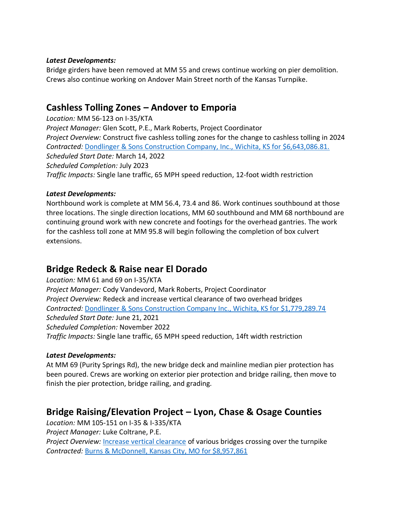#### *Latest Developments:*

Bridge girders have been removed at MM 55 and crews continue working on pier demolition. Crews also continue working on Andover Main Street north of the Kansas Turnpike.

### <span id="page-3-0"></span>**Cashless Tolling Zones – Andover to Emporia**

*Location:* MM 56-123 on I-35/KTA *Project Manager:* Glen Scott, P.E., Mark Roberts, Project Coordinator *Project Overview:* Construct five cashless tolling zones for the change to cashless tolling in 2024 *Contracted:* [Dondlinger & Sons Construction Company, Inc., Wichita, KS for \\$6,643,086.81.](https://www.ksturnpike.com/assets/uploads/press-release-files/2022-01-04_Contracts_Awarded.pdf) *Scheduled Start Date:* March 14, 2022 *Scheduled Completion:* July 2023 *Traffic Impacts:* Single lane traffic, 65 MPH speed reduction, 12-foot width restriction

### *Latest Developments:*

Northbound work is complete at MM 56.4, 73.4 and 86. Work continues southbound at those three locations. The single direction locations, MM 60 southbound and MM 68 northbound are continuing ground work with new concrete and footings for the overhead gantries. The work for the cashless toll zone at MM 95.8 will begin following the completion of box culvert extensions.

# <span id="page-3-1"></span>**Bridge Redeck & Raise near El Dorado**

*Location:* MM 61 and 69 on I-35/KTA *Project Manager:* Cody Vandevord, Mark Roberts, Project Coordinator *Project Overview:* Redeck and increase vertical clearance of two overhead bridges *Contracted:* [Dondlinger & Sons Construction Company Inc., Wichita, KS for \\$1,779,289.74](https://www.ksturnpike.com/assets/uploads/press-release-files/2021-02-02_Contracts_Awarded.pdf) *Scheduled Start Date:* June 21, 2021 *Scheduled Completion:* November 2022 *Traffic Impacts:* Single lane traffic, 65 MPH speed reduction, 14ft width restriction

### *Latest Developments:*

At MM 69 (Purity Springs Rd), the new bridge deck and mainline median pier protection has been poured. Crews are working on exterior pier protection and bridge railing, then move to finish the pier protection, bridge railing, and grading.

# <span id="page-3-2"></span>**Bridge Raising/Elevation Project – Lyon, Chase & Osage Counties**

*Location:* MM 105-151 on I-35 & I-335/KTA *Project Manager:* Luke Coltrane, P.E.

*Project Overview:* [Increase vertical clearance](https://www.youtube.com/watch?v=dDocoFVr82Q) of various bridges crossing over the turnpike *Contracted:* [Burns & McDonnell, Kansas City, MO for \\$8,957,861](https://www.ksturnpike.com/assets/uploads/press-release-files/2021-05-04_Contracts_Awarded.pdf)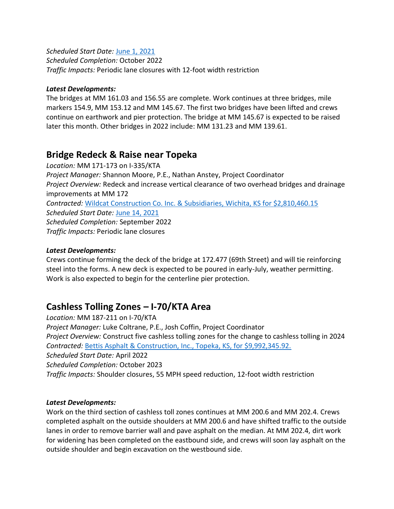#### *Scheduled Start Date:* [June 1, 2021](https://www.ksturnpike.com/assets/uploads/press-release-files/2021-05-27_Bridge_Raisings_Round_4.pdf)

*Scheduled Completion:* October 2022 *Traffic Impacts:* Periodic lane closures with 12-foot width restriction

#### *Latest Developments:*

The bridges at MM 161.03 and 156.55 are complete. Work continues at three bridges, mile markers 154.9, MM 153.12 and MM 145.67. The first two bridges have been lifted and crews continue on earthwork and pier protection. The bridge at MM 145.67 is expected to be raised later this month. Other bridges in 2022 include: MM 131.23 and MM 139.61.

### <span id="page-4-0"></span>**Bridge Redeck & Raise near Topeka**

*Location:* MM 171-173 on I-335/KTA *Project Manager:* Shannon Moore, P.E., Nathan Anstey, Project Coordinator *Project Overview:* Redeck and increase vertical clearance of two overhead bridges and drainage improvements at MM 172 *Contracted:* [Wildcat Construction Co. Inc. & Subsidiaries, Wichita, KS for \\$2,810,460.15](https://www.ksturnpike.com/assets/uploads/press-release-files/2021-05-04_Contracts_Awarded.pdf) *Scheduled Start Date:* [June 14, 2021](https://www.ksturnpike.com/assets/uploads/press-release-files/2021-06-11_Bridge_project_to_begin.pdf) *Scheduled Completion:* September 2022 *Traffic Impacts:* Periodic lane closures

### *Latest Developments:*

Crews continue forming the deck of the bridge at 172.477 (69th Street) and will tie reinforcing steel into the forms. A new deck is expected to be poured in early-July, weather permitting. Work is also expected to begin for the centerline pier protection.

### <span id="page-4-1"></span>**Cashless Tolling Zones – I-70/KTA Area**

*Location:* MM 187-211 on I-70/KTA *Project Manager:* Luke Coltrane, P.E., Josh Coffin, Project Coordinator *Project Overview:* Construct five cashless tolling zones for the change to cashless tolling in 2024 *Contracted:* [Bettis Asphalt & Construction, Inc., Topeka, KS, for \\$9,992,345.92.](https://www.ksturnpike.com/assets/uploads/press-release-files/2022-04-05_Contracts_Awarded.pdf) *Scheduled Start Date:* April 2022 *Scheduled Completion:* October 2023 *Traffic Impacts:* Shoulder closures, 55 MPH speed reduction, 12-foot width restriction

### *Latest Developments:*

Work on the third section of cashless toll zones continues at MM 200.6 and MM 202.4. Crews completed asphalt on the outside shoulders at MM 200.6 and have shifted traffic to the outside lanes in order to remove barrier wall and pave asphalt on the median. At MM 202.4, dirt work for widening has been completed on the eastbound side, and crews will soon lay asphalt on the outside shoulder and begin excavation on the westbound side.